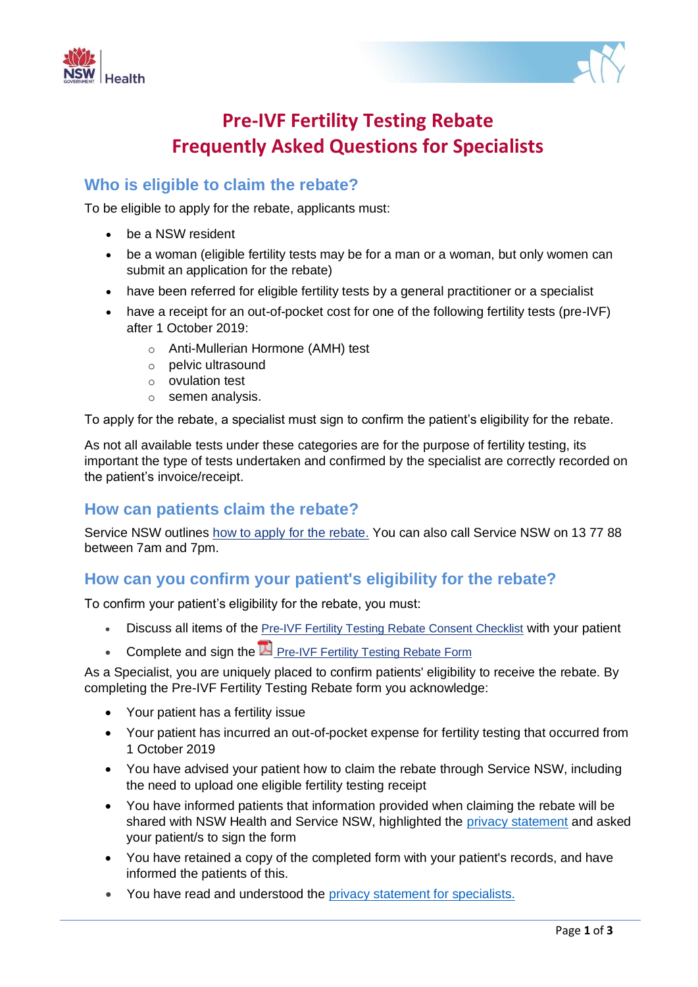



# **Pre-IVF Fertility Testing Rebate Frequently Asked Questions for Specialists**

# **Who is eligible to claim the rebate?**

To be eligible to apply for the rebate, applicants must:

- be a NSW resident
- be a woman (eligible fertility tests may be for a man or a woman, but only women can submit an application for the rebate)
- have been referred for eligible fertility tests by a general practitioner or a specialist
- have a receipt for an out-of-pocket cost for one of the following fertility tests (pre-IVF) after 1 October 2019:
	- o Anti-Mullerian Hormone (AMH) test
	- o pelvic ultrasound
	- o ovulation test
	- o semen analysis.

To apply for the rebate, a specialist must sign to confirm the patient's eligibility for the rebate.

As not all available tests under these categories are for the purpose of fertility testing, its important the type of tests undertaken and confirmed by the specialist are correctly recorded on the patient's invoice/receipt.

## **How can patients claim the rebate?**

Service NSW outlines how to apply for the [rebate.](https://www.service.nsw.gov.au/transaction/apply-pre-ivf-fertility-testing-rebate) You can also call Service NSW on 13 77 88 between 7am and 7pm.

## **How can you confirm your patient's eligibility for the rebate?**

To confirm your patient's eligibility for the rebate, you must:

- Discuss all items of the Pre-IVF Fertility Testing Rebate Consent [Checklist](https://www.health.nsw.gov.au/kidsfamilies/MCFhealth/maternity/Pages/ivf-rebate-checklist.aspx) with your patient
- Complete and sign the  $\mathbb E$  [Pre-IVF](https://www.health.nsw.gov.au/kidsfamilies/MCFhealth/maternity/Documents/rebate-form.pdf) Fertility Testing Rebate [Form](https://www.health.nsw.gov.au/kidsfamilies/MCFhealth/maternity/Documents/rebate-form.pdf)

As a Specialist, you are uniquely placed to confirm patients' eligibility to receive the rebate. By completing the Pre-IVF Fertility Testing Rebate form you acknowledge:

- Your patient has a fertility issue
- Your patient has incurred an out-of-pocket expense for fertility testing that occurred from 1 October 2019
- You have advised your patient how to claim the rebate through Service NSW, including the need to upload one eligible fertility testing receipt
- You have informed patients that information provided when claiming the rebate will be shared with NSW Health and Service NSW, highlighted the [privacy statement](https://www.health.nsw.gov.au/kidsfamilies/MCFhealth/maternity/Pages/ivf-privacy-patients.aspx) and asked your patient/s to sign the form
- You have retained a copy of the completed form with your patient's records, and have informed the patients of this.
- You have read and understood the [privacy statement for specialists.](https://www.health.nsw.gov.au/kidsfamilies/MCFhealth/maternity/Pages/ivf-privacy-specialists.aspx)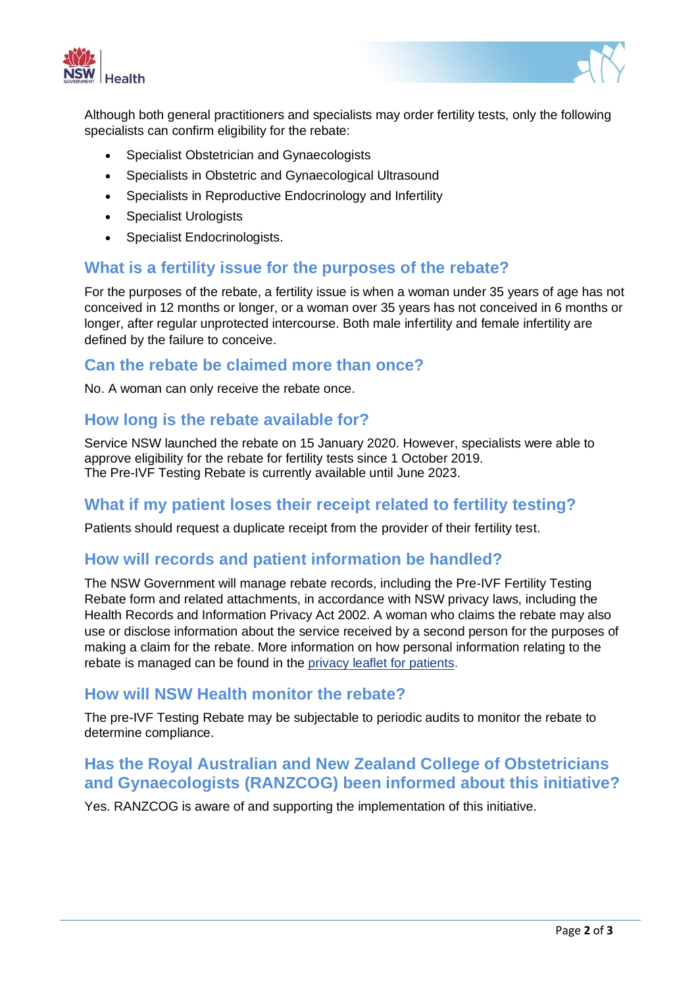



Although both general practitioners and specialists may order fertility tests, only the following specialists can confirm eligibility for the rebate:

- Specialist Obstetrician and Gynaecologists
- Specialists in Obstetric and Gynaecological Ultrasound
- Specialists in Reproductive Endocrinology and Infertility
- Specialist Urologists
- Specialist Endocrinologists.

## **What is a fertility issue for the purposes of the rebate?**

For the purposes of the rebate, a fertility issue is when a woman under 35 years of age has not conceived in 12 months or longer, or a woman over 35 years has not conceived in 6 months or longer, after regular unprotected intercourse. Both male infertility and female infertility are defined by the failure to conceive.

#### **Can the rebate be claimed more than once?**

No. A woman can only receive the rebate once.

### **How long is the rebate available for?**

Service NSW launched the rebate on 15 January 2020. However, specialists were able to approve eligibility for the rebate for fertility tests since 1 October 2019. The Pre-IVF Testing Rebate is currently available until June 2023.

#### **What if my patient loses their receipt related to fertility testing?**

Patients should request a duplicate receipt from the provider of their fertility test.

#### **How will records and patient information be handled?**

The NSW Government will manage rebate records, including the Pre-IVF Fertility Testing Rebate form and related attachments, in accordance with NSW privacy laws, including the Health Records and Information Privacy Act 2002. A woman who claims the rebate may also use or disclose information about the service received by a second person for the purposes of making a claim for the rebate. More information on how personal information relating to the rebate is managed can be found in the [privacy leaflet for patients.](https://www.health.nsw.gov.au/patients/privacy/Pages/privacy-leaflet-for-patients.aspx)

#### **How will NSW Health monitor the rebate?**

The pre-IVF Testing Rebate may be subjectable to periodic audits to monitor the rebate to determine compliance.

# **Has the Royal Australian and New Zealand College of Obstetricians and Gynaecologists (RANZCOG) been informed about this initiative?**

Yes. RANZCOG is aware of and supporting the implementation of this initiative.